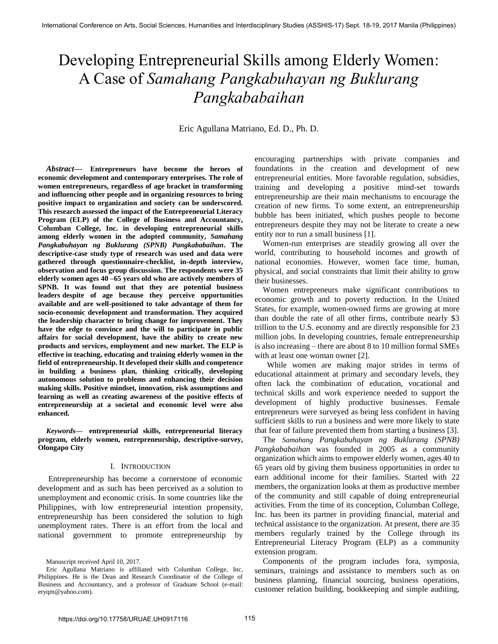# Developing Entrepreneurial Skills among Elderly Women: A Case of *Samahang Pangkabuhayan ng Buklurang Pangkababaihan*

Eric Agullana Matriano, Ed. D., Ph. D.

*Abstract—* **Entrepreneurs have become the heroes of economic development and contemporary enterprises. The role of women entrepreneurs, regardless of age bracket in transforming and influencing other people and in organizing resources to bring positive impact to organization and society can be underscored. This research assessed the impact of the Entrepreneurial Literacy Program (ELP) of the College of Business and Accountancy, Columban College, Inc. in developing entrepreneurial skills among elderly women in the adopted community,** *Samahang Pangkabuhayan ng Buklurang (SPNB) Pangkababaihan***. The descriptive-case study type of research was used and data were gathered through questionnaire-checklist, in-depth interview, observation and focus group discussion. The respondents were 35 elderly women ages 40 –65 years old who are actively members of SPNB. It was found out that they are potential business leaders despite of age because they perceive opportunities available and are well-positioned to take advantage of them for socio-economic development and transformation. They acquired the leadership character to bring change for improvement. They have the edge to convince and the will to participate in public affairs for social development, have the ability to create new products and services, employment and new market. The ELP is effective in teaching, educating and training elderly women in the field of entrepreneurship. It developed their skills and competence in building a business plan, thinking critically, developing autonomous solution to problems and enhancing their decision making skills. Positive mindset, innovation, risk assumptions and learning as well as creating awareness of the positive effects of entrepreneurship at a societal and economic level were also enhanced.** 

*Keywords***— entrepreneurial skills, entrepreneurial literacy program, elderly women, entrepreneurship, descriptive-survey, Olongapo City** 

## I. INTRODUCTION

 Entrepreneurship has become a cornerstone of economic development and as such has been perceived as a solution to unemployment and economic crisis. In some countries like the Philippines, with low entrepreneurial intention propensity, entrepreneurship has been considered the solution to high unemployment rates. There is an effort from the local and national government to promote entrepreneurship by

Manuscript received April 10, 2017.

encouraging partnerships with private companies and foundations in the creation and development of new entrepreneurial entities. More favorable regulation, subsidies, training and developing a positive mind-set towards entrepreneurship are their main mechanisms to encourage the creation of new firms. To some extent, an entrepreneurship bubble has been initiated, which pushes people to become entrepreneurs despite they may not be literate to create a new entity nor to run a small business [1].

Women-run enterprises are steadily growing all over the world, contributing to household incomes and growth of national economies. However, women face time, human, physical, and social constraints that limit their ability to grow their businesses.

Women entrepreneurs make significant contributions to economic growth and to poverty reduction. In the United States, for example, women-owned firms are growing at more than double the rate of all other firms, contribute nearly \$3 trillion to the U.S. economy and are directly responsible for 23 million jobs. In developing countries, female entrepreneurship is also increasing – there are about 8 to 10 million formal SMEs with at least one woman owner [2].

 While women are making major strides in terms of educational attainment at primary and secondary levels, they often lack the combination of education, vocational and technical skills and work experience needed to support the development of highly productive businesses. Female entrepreneurs were surveyed as being less confident in having sufficient skills to run a business and were more likely to state that fear of failure prevented them from starting a business [3].

The *Samahang Pangkabuhayan ng Buklurang (SPNB) Pangkababaihan* was founded in 2005 as a community organization which aims to empower elderly women, ages 40 to 65 years old by giving them business opportunities in order to earn additional income for their families. Started with 22 members, the organization looks at them as productive member of the community and still capable of doing entrepreneurial activities. From the time of its conception, Columban College, Inc. has been its partner in providing financial, material and technical assistance to the organization. At present, there are 35 members regularly trained by the College through its Entrepreneurial Literacy Program (ELP) as a community extension program.

Components of the program includes fora, symposia, seminars, trainings and assistance to members such as on business planning, financial sourcing, business operations, customer relation building, bookkeeping and simple auditing,

Eric Agullana Matriano is affiliated with Columban College, Inc, Philippines. He is the Dean and Research Coordinator of the College of Business and Accountancy, and a professor of Graduate School (e-mail: eryqm@yahoo.com).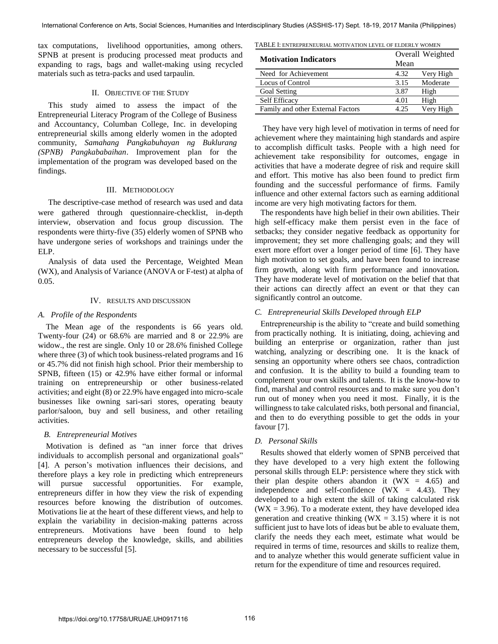tax computations, livelihood opportunities, among others. SPNB at present is producing processed meat products and expanding to rags, bags and wallet-making using recycled materials such as tetra-packs and used tarpaulin.

# II. OBJECTIVE OF THE STUDY

 This study aimed to assess the impact of the Entrepreneurial Literacy Program of the College of Business and Accountancy, Columban College, Inc. in developing entrepreneurial skills among elderly women in the adopted community, *Samahang Pangkabuhayan ng Buklurang (SPNB) Pangkababaihan*. Improvement plan for the implementation of the program was developed based on the findings.

## III. METHODOLOGY

 The descriptive-case method of research was used and data were gathered through questionnaire-checklist, in-depth interview, observation and focus group discussion. The respondents were thirty-five (35) elderly women of SPNB who have undergone series of workshops and trainings under the ELP.

 Analysis of data used the Percentage, Weighted Mean (WX), and Analysis of Variance (ANOVA or F-test) at alpha of  $0.05.$ 

## IV. RESULTS AND DISCUSSION

## *A. Profile of the Respondents*

 The Mean age of the respondents is 66 years old. Twenty-four (24) or 68.6% are married and 8 or 22.9% are widow., the rest are single. Only 10 or 28.6% finished College where three (3) of which took business-related programs and 16 or 45.7% did not finish high school. Prior their membership to SPNB, fifteen (15) or 42.9% have either formal or informal training on entrepreneurship or other business-related activities; and eight (8) or 22.9% have engaged into micro-scale businesses like owning sari-sari stores, operating beauty parlor/saloon, buy and sell business, and other retailing activities.

# *B. Entrepreneurial Motives*

Motivation is defined as "an inner force that drives individuals to accomplish personal and organizational goals" [4]. A person's motivation influences their decisions, and therefore plays a key role in predicting which entrepreneurs will pursue successful opportunities. For example, entrepreneurs differ in how they view the risk of expending resources before knowing the distribution of outcomes. Motivations lie at the heart of these different views, and help to explain the variability in decision-making patterns across entrepreneurs. Motivations have been found to help entrepreneurs develop the knowledge, skills, and abilities necessary to be successful [5].

TABLE I: ENTREPRENEURIAL MOTIVATION LEVEL OF ELDERLY WOMEN

| <b>Motivation Indicators</b>      | Overall Weighted |           |
|-----------------------------------|------------------|-----------|
|                                   | Mean             |           |
| Need for Achievement              | 4.32             | Very High |
| Locus of Control                  | 3.15             | Moderate  |
| <b>Goal Setting</b>               | 3.87             | High      |
| Self Efficacy                     | 4.01             | High      |
| Family and other External Factors | 4.25             | Very High |

 They have very high level of motivation in terms of need for achievement where they maintaining high standards and aspire to accomplish difficult tasks. People with a high need for achievement take responsibility for outcomes, engage in activities that have a moderate degree of risk and require skill and effort. This motive has also been found to predict firm founding and the successful performance of firms. Family influence and other external factors such as earning additional income are very high motivating factors for them.

The respondents have high belief in their own abilities. Their high self-efficacy make them persist even in the face of setbacks; they consider negative feedback as opportunity for improvement; they set more challenging goals; and they will exert more effort over a longer period of time [6]. They have high motivation to set goals, and have been found to increase firm growth, along with firm performance and innovation*.*  They have moderate level of motivation on the belief that that their actions can directly affect an event or that they can significantly control an outcome.

# *C. Entrepreneurial Skills Developed through ELP*

Entrepreneurship is the ability to "create and build something from practically nothing. It is initiating, doing, achieving and building an enterprise or organization, rather than just watching, analyzing or describing one. It is the knack of sensing an opportunity where others see chaos, contradiction and confusion. It is the ability to build a founding team to complement your own skills and talents. It is the know-how to find, marshal and control resources and to make sure you don't run out of money when you need it most. Finally, it is the willingness to take calculated risks, both personal and financial, and then to do everything possible to get the odds in your favour [7].

# *D. Personal Skills*

Results showed that elderly women of SPNB perceived that they have developed to a very high extent the following personal skills through ELP: persistence where they stick with their plan despite others abandon it ( $WX = 4.65$ ) and independence and self-confidence  $(WX = 4.43)$ . They developed to a high extent the skill of taking calculated risk  $(WX = 3.96)$ . To a moderate extent, they have developed idea generation and creative thinking ( $WX = 3.15$ ) where it is not sufficient just to have lots of ideas but be able to evaluate them, clarify the needs they each meet, estimate what would be required in terms of time, resources and skills to realize them, and to analyze whether this would generate sufficient value in return for the expenditure of time and resources required.